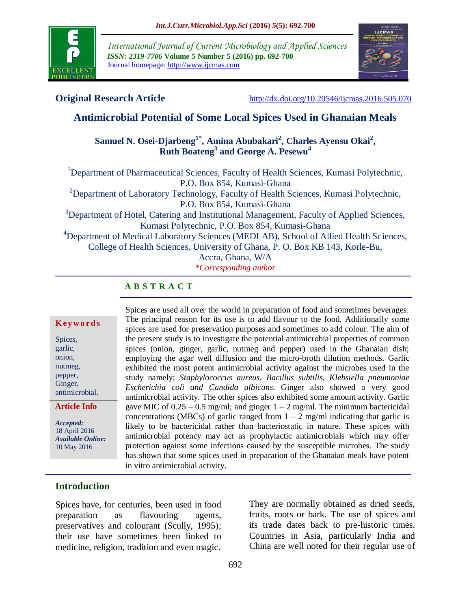

*International Journal of Current Microbiology and Applied Sciences ISSN: 2319-7706* **Volume 5 Number 5 (2016) pp. 692-700** Journal homepage: http://www.ijcmas.com



**Original Research Article** <http://dx.doi.org/10.20546/ijcmas.2016.505.070>

# **Antimicrobial Potential of Some Local Spices Used in Ghanaian Meals**

# **Samuel N. Osei-Djarbeng1\*, Amina Abubakari<sup>2</sup> , Charles Ayensu Okai<sup>2</sup> , Ruth Boateng<sup>3</sup> and George A. Pesewu<sup>4</sup>**

<sup>1</sup>Department of Pharmaceutical Sciences, Faculty of Health Sciences, Kumasi Polytechnic, P.O. Box 854, Kumasi-Ghana <sup>2</sup>Department of Laboratory Technology, Faculty of Health Sciences, Kumasi Polytechnic, P.O. Box 854, Kumasi-Ghana <sup>3</sup>Department of Hotel, Catering and Institutional Management, Faculty of Applied Sciences, Kumasi Polytechnic, P.O. Box 854, Kumasi-Ghana <sup>4</sup>Department of Medical Laboratory Sciences (MEDLAB), School of Allied Health Sciences, College of Health Sciences, University of Ghana, P. O. Box KB 143, Korle-Bu, Accra, Ghana, W/A *\*Corresponding author*

**A B S T R A C T**

#### **K ey w o rd s**

Spices, garlic, onion, nutmeg, pepper, Ginger, antimicrobial.

**Article Info**

*Accepted:*  18 April 2016 *Available Online:* 10 May 2016

Spices are used all over the world in preparation of food and sometimes beverages. The principal reason for its use is to add flavour to the food. Additionally some spices are used for preservation purposes and sometimes to add colour. The aim of the present study is to investigate the potential antimicrobial properties of common spices (onion, ginger, garlic, nutmeg and pepper) used in the Ghanaian dish; employing the agar well diffusion and the micro-broth dilution methods. Garlic exhibited the most potent antimicrobial activity against the microbes used in the study namely; *Staphylococcus aureus, Bacillus subtilis*, *Klebsiella pneumoniae Escherichia coli and Candida albicans*. Ginger also showed a very good antimicrobial activity. The other spices also exhibited some amount activity. Garlic gave MIC of  $0.25 - 0.5$  mg/ml; and ginger  $1 - 2$  mg/ml. The minimum bactericidal concentrations (MBCs) of garlic ranged from  $1 - 2$  mg/ml indicating that garlic is likely to be bactericidal rather than bacteriostatic in nature. These spices with antimicrobial potency may act as prophylactic antimicrobials which may offer protection against some infections caused by the susceptible microbes. The study has shown that some spices used in preparation of the Ghanaian meals have potent in vitro antimicrobial activity.

# **Introduction**

Spices have, for centuries, been used in food preparation as flavouring agents, preservatives and colourant (Scully, 1995); their use have sometimes been linked to medicine, religion, tradition and even magic.

They are normally obtained as dried seeds, fruits, roots or bark. The use of spices and its trade dates back to pre-historic times. Countries in Asia, particularly India and China are well noted for their regular use of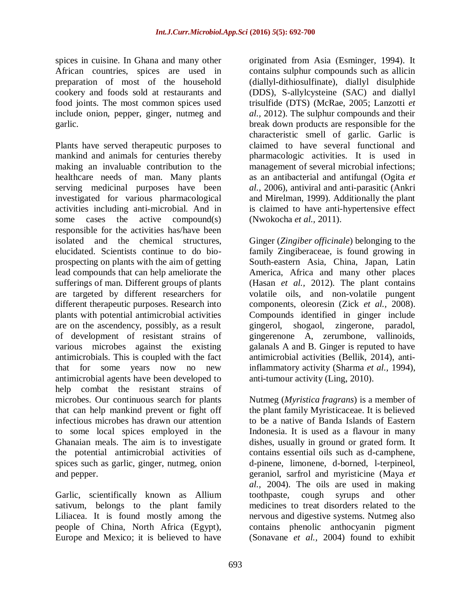spices in cuisine. In Ghana and many other African countries, spices are used in preparation of most of the household cookery and foods sold at restaurants and food joints. The most common spices used include onion, pepper, ginger, nutmeg and garlic.

Plants have served therapeutic purposes to mankind and animals for centuries thereby making an invaluable contribution to the healthcare needs of man. Many plants serving medicinal purposes have been investigated for various pharmacological activities including anti-microbial. And in some cases the active compound(s) responsible for the activities has/have been isolated and the chemical structures, elucidated. Scientists continue to do bioprospecting on plants with the aim of getting lead compounds that can help ameliorate the sufferings of man. Different groups of plants are targeted by different researchers for different therapeutic purposes. Research into plants with potential antimicrobial activities are on the ascendency, possibly, as a result of development of resistant strains of various microbes against the existing antimicrobials. This is coupled with the fact that for some years now no new antimicrobial agents have been developed to help combat the resistant strains of microbes. Our continuous search for plants that can help mankind prevent or fight off infectious microbes has drawn our attention to some local spices employed in the Ghanaian meals. The aim is to investigate the potential antimicrobial activities of spices such as garlic, ginger, nutmeg, onion and pepper.

Garlic, scientifically known as Allium sativum, belongs to the plant family Liliacea. It is found mostly among the people of China, North Africa (Egypt), Europe and Mexico; it is believed to have

originated from Asia (Esminger, 1994). It contains sulphur compounds such as allicin (diallyl-dithiosulfinate), diallyl disulphide (DDS), S-allylcysteine (SAC) and diallyl trisulfide (DTS) (McRae, 2005; Lanzotti *et al.,* 2012). The sulphur compounds and their break down products are responsible for the characteristic smell of garlic. Garlic is claimed to have several functional and pharmacologic activities. It is used in management of several microbial infections; as an antibacterial and antifungal (Ogita *et al.,* 2006), antiviral and anti-parasitic (Ankri and Mirelman, 1999). Additionally the plant is claimed to have anti-hypertensive effect (Nwokocha *et al.,* 2011).

Ginger (*Zingiber officinale*) belonging to the family Zingiberaceae, is found growing in South-eastern Asia, China, Japan, Latin America, Africa and many other places (Hasan *et al.,* 2012). The plant contains volatile oils, and non-volatile pungent components, oleoresin (Zick *et al.,* 2008). Compounds identified in ginger include gingerol, shogaol, zingerone, paradol, gingerenone A, zerumbone, vallinoids, galanals A and B. Ginger is reputed to have antimicrobial activities (Bellik, 2014), antiinflammatory activity (Sharma *et al.,* 1994), anti-tumour activity (Ling, 2010).

Nutmeg (*Myristica fragrans*) is a member of the plant family Myristicaceae. It is believed to be a native of Banda Islands of Eastern Indonesia. It is used as a flavour in many dishes, usually in ground or grated form. It contains essential oils such as d-camphene, d-pinene, limonene, d-borned, l-terpineol, geraniol, sarfrol and myristicine (Maya *et al.,* 2004). The oils are used in making toothpaste, cough syrups and other medicines to treat disorders related to the nervous and digestive systems. Nutmeg also contains phenolic anthocyanin pigment (Sonavane *et al.,* 2004) found to exhibit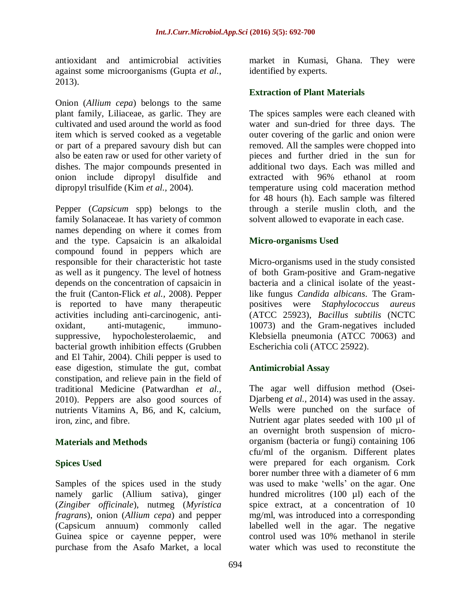antioxidant and antimicrobial activities against some microorganisms (Gupta *et al.,* 2013).

Onion (*Allium cepa*) belongs to the same plant family, Liliaceae, as garlic. They are cultivated and used around the world as food item which is served cooked as a vegetable or part of a prepared savoury dish but can also be eaten raw or used for other variety of dishes. The major compounds presented in onion include dipropyl disulfide and dipropyl trisulfide (Kim *et al.,* 2004).

Pepper (*Capsicum* spp) belongs to the family Solanaceae. It has variety of common names depending on where it comes from and the type. Capsaicin is an alkaloidal compound found in peppers which are responsible for their characteristic hot taste as well as it pungency. The level of hotness depends on the concentration of capsaicin in the fruit (Canton-Flick *et al.,* 2008). Pepper is reported to have many therapeutic activities including anti-carcinogenic, antioxidant, anti-mutagenic, immunosuppressive, hypocholesterolaemic, and bacterial growth inhibition effects (Grubben and El Tahir, 2004). Chili pepper is used to ease digestion, stimulate the gut, combat constipation, and relieve pain in the field of traditional Medicine (Patwardhan *et al.,* 2010). Peppers are also good sources of nutrients Vitamins A, B6, and K, calcium, iron, zinc, and fibre.

### **Materials and Methods**

### **Spices Used**

Samples of the spices used in the study namely garlic (Allium sativa), ginger (*Zingiber officinale*), nutmeg (*Myristica fragrans*), onion (*Allium cepa*) and pepper (Capsicum annuum) commonly called Guinea spice or cayenne pepper, were purchase from the Asafo Market, a local

market in Kumasi, Ghana. They were identified by experts.

## **Extraction of Plant Materials**

The spices samples were each cleaned with water and sun-dried for three days. The outer covering of the garlic and onion were removed. All the samples were chopped into pieces and further dried in the sun for additional two days. Each was milled and extracted with 96% ethanol at room temperature using cold maceration method for 48 hours (h). Each sample was filtered through a sterile muslin cloth, and the solvent allowed to evaporate in each case.

## **Micro-organisms Used**

Micro-organisms used in the study consisted of both Gram-positive and Gram-negative bacteria and a clinical isolate of the yeastlike fungus *Candida albicans*. The Grampositives were *Staphylococcus aureus* (ATCC 25923), *Bacillus subtilis* (NCTC 10073) and the Gram-negatives included Klebsiella pneumonia (ATCC 70063) and Escherichia coli (ATCC 25922).

# **Antimicrobial Assay**

The agar well diffusion method (Osei-Djarbeng *et al.,* 2014) was used in the assay. Wells were punched on the surface of Nutrient agar plates seeded with 100 µl of an overnight broth suspension of microorganism (bacteria or fungi) containing 106 cfu/ml of the organism. Different plates were prepared for each organism. Cork borer number three with a diameter of 6 mm was used to make 'wells' on the agar. One hundred microlitres (100 µl) each of the spice extract, at a concentration of 10 mg/ml, was introduced into a corresponding labelled well in the agar. The negative control used was 10% methanol in sterile water which was used to reconstitute the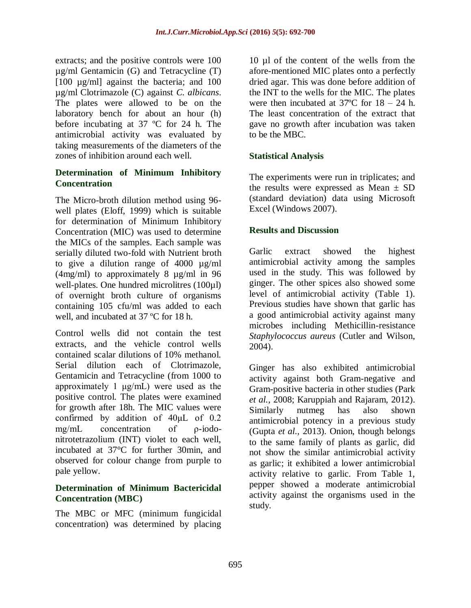extracts; and the positive controls were 100 µg/ml Gentamicin (G) and Tetracycline (T) [100 µg/ml] against the bacteria; and 100 µg/ml Clotrimazole (C) against *C. albicans*. The plates were allowed to be on the laboratory bench for about an hour (h) before incubating at 37 ºC for 24 h. The antimicrobial activity was evaluated by taking measurements of the diameters of the zones of inhibition around each well.

# **Determination of Minimum Inhibitory Concentration**

The Micro-broth dilution method using 96 well plates (Eloff, 1999) which is suitable for determination of Minimum Inhibitory Concentration (MIC) was used to determine the MICs of the samples. Each sample was serially diluted two-fold with Nutrient broth to give a dilution range of 4000 µg/ml (4mg/ml) to approximately 8 µg/ml in 96 well-plates. One hundred microlitres (100µl) of overnight broth culture of organisms containing 105 cfu/ml was added to each well, and incubated at 37 ºC for 18 h.

Control wells did not contain the test extracts, and the vehicle control wells contained scalar dilutions of 10% methanol. Serial dilution each of Clotrimazole, Gentamicin and Tetracycline (from 1000 to approximately 1 μg/mL) were used as the positive control. The plates were examined for growth after 18h. The MIC values were confirmed by addition of 40μL of 0.2 mg/mL concentration of ρ-iodonitrotetrazolium (INT) violet to each well, incubated at 37°C for further 30min, and observed for colour change from purple to pale yellow.

## **Determination of Minimum Bactericidal Concentration (MBC)**

The MBC or MFC (minimum fungicidal concentration) was determined by placing

10 µl of the content of the wells from the afore-mentioned MIC plates onto a perfectly dried agar. This was done before addition of the INT to the wells for the MIC. The plates were then incubated at  $37^{\circ}$ C for  $18 - 24$  h. The least concentration of the extract that gave no growth after incubation was taken to be the MBC.

# **Statistical Analysis**

The experiments were run in triplicates; and the results were expressed as Mean  $\pm$  SD (standard deviation) data using Microsoft Excel (Windows 2007).

## **Results and Discussion**

Garlic extract showed the highest antimicrobial activity among the samples used in the study. This was followed by ginger. The other spices also showed some level of antimicrobial activity (Table 1). Previous studies have shown that garlic has a good antimicrobial activity against many microbes including Methicillin-resistance *Staphylococcus aureus* (Cutler and Wilson, 2004).

Ginger has also exhibited antimicrobial activity against both Gram-negative and Gram-positive bacteria in other studies (Park *et al.,* 2008; Karuppiah and Rajaram, 2012). Similarly nutmeg has also shown antimicrobial potency in a previous study (Gupta *et al.,* 2013). Onion, though belongs to the same family of plants as garlic, did not show the similar antimicrobial activity as garlic; it exhibited a lower antimicrobial activity relative to garlic. From Table 1, pepper showed a moderate antimicrobial activity against the organisms used in the study.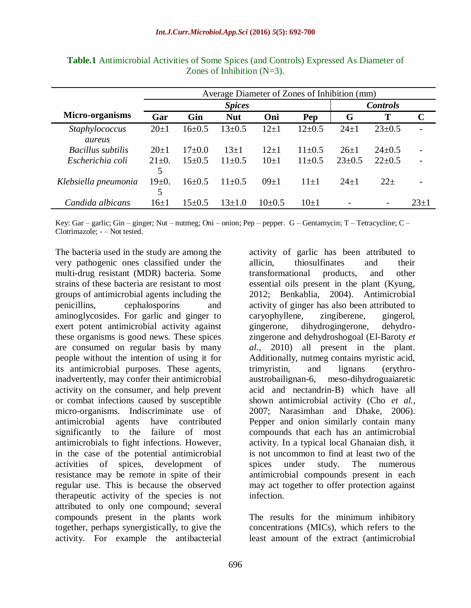|                          | Average Diameter of Zones of Inhibition (mm) |              |                 |             |              |              |                          |             |  |
|--------------------------|----------------------------------------------|--------------|-----------------|-------------|--------------|--------------|--------------------------|-------------|--|
|                          |                                              |              | <b>Controls</b> |             |              |              |                          |             |  |
| Micro-organisms          | Gar                                          | Gin          | <b>Nut</b>      | Oni         | Pep          | G            | T                        | $\mathbf C$ |  |
| Staphylococcus<br>aureus | $20 \pm 1$                                   | $16 \pm 0.5$ | $13 \pm 0.5$    | $12+1$      | $12 \pm 0.5$ | $24 \pm 1$   | $23 \pm 0.5$             |             |  |
| <b>Bacillus subtilis</b> | $20+1$                                       | $17 \pm 0.0$ | $13\pm1$        | $12+1$      | $11\pm0.5$   | $26 \pm 1$   | $24 \pm 0.5$             |             |  |
| Escherichia coli         | $21 \pm 0.$<br>5                             | $15\pm0.5$   | $11\pm0.5$      | $10\pm1$    | $11 \pm 0.5$ | $23 \pm 0.5$ | $22+0.5$                 |             |  |
| Klebsiella pneumonia     | $19 \pm 0.$                                  | $16 \pm 0.5$ | $11\pm0.5$      | $09 \pm 1$  | $11+1$       | $24+1$       | $22+$                    |             |  |
| Candida albicans         | $16 \pm 1$                                   | $15+0.5$     | $13+1.0$        | $10\pm 0.5$ | $10\pm1$     |              | $\overline{\phantom{a}}$ | $23+1$      |  |

**Table.1** Antimicrobial Activities of Some Spices (and Controls) Expressed As Diameter of Zones of Inhibition (N=3).

Key: Gar – garlic; Gin – ginger; Nut – nutmeg; Oni – onion; Pep – pepper. G – Gentamycin; T – Tetracycline; C – Clotrimazole; - – Not tested.

The bacteria used in the study are among the very pathogenic ones classified under the multi-drug resistant (MDR) bacteria. Some strains of these bacteria are resistant to most groups of antimicrobial agents including the penicillins, cephalosporins and aminoglycosides. For garlic and ginger to exert potent antimicrobial activity against these organisms is good news. These spices are consumed on regular basis by many people without the intention of using it for its antimicrobial purposes. These agents, inadvertently, may confer their antimicrobial activity on the consumer, and help prevent or combat infections caused by susceptible micro-organisms. Indiscriminate use of antimicrobial agents have contributed significantly to the failure of most antimicrobials to fight infections. However, in the case of the potential antimicrobial activities of spices, development of resistance may be remote in spite of their regular use. This is because the observed therapeutic activity of the species is not attributed to only one compound; several compounds present in the plants work together, perhaps synergistically, to give the activity. For example the antibacterial

activity of garlic has been attributed to allicin, thiosulfinates and their transformational products, and other essential oils present in the plant (Kyung, 2012; Benkablia, 2004). Antimicrobial activity of ginger has also been attributed to caryophyllene, zingiberene, gingerol, gingerone, dihydrogingerone, dehydrozingerone and dehydroshogoal (El-Baroty *et al.,* 2010) all present in the plant. Additionally, nutmeg contains myristic acid, trimyristin, and lignans (erythroaustrobailignan-6, meso-dihydroguaiaretic acid and nectandrin-B) which have all shown antimicrobial activity (Cho *et al.,* 2007; Narasimhan and Dhake, 2006). Pepper and onion similarly contain many compounds that each has an antimicrobial activity. In a typical local Ghanaian dish, it is not uncommon to find at least two of the spices under study. The numerous antimicrobial compounds present in each may act together to offer protection against infection.

The results for the minimum inhibitory concentrations (MICs), which refers to the least amount of the extract (antimicrobial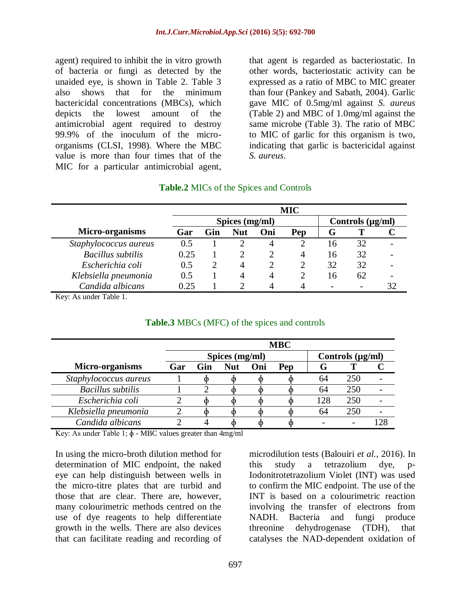agent) required to inhibit the in vitro growth of bacteria or fungi as detected by the unaided eye, is shown in Table 2. Table 3 also shows that for the minimum bactericidal concentrations (MBCs), which depicts the lowest amount of the antimicrobial agent required to destroy 99.9% of the inoculum of the microorganisms (CLSI, 1998). Where the MBC value is more than four times that of the MIC for a particular antimicrobial agent,

that agent is regarded as bacteriostatic. In other words, bacteriostatic activity can be expressed as a ratio of MBC to MIC greater than four (Pankey and Sabath, 2004). Garlic gave MIC of 0.5mg/ml against *S. aureus* (Table 2) and MBC of 1.0mg/ml against the same microbe (Table 3). The ratio of MBC to MIC of garlic for this organism is two, indicating that garlic is bactericidal against *S. aureus*.

#### **Table.2** MICs of the Spices and Controls

|                          | <b>MIC</b>     |     |            |     |     |                       |    |  |
|--------------------------|----------------|-----|------------|-----|-----|-----------------------|----|--|
|                          | Spices (mg/ml) |     |            |     |     | Controls $(\mu g/ml)$ |    |  |
| Micro-organisms          | Gar            | Gin | <b>Nut</b> | Oni | Pep | G 1                   |    |  |
| Staphylococcus aureus    | 0.5            |     |            |     |     | 16                    | 32 |  |
| <b>Bacillus</b> subtilis | 0.25           |     |            |     |     | 16                    | 32 |  |
| Escherichia coli         | 0.5            |     |            |     |     | 32                    | 32 |  |
| Klebsiella pneumonia     | 0.5            |     | 4          | 4   |     | 16                    | 62 |  |
| Candida albicans         | 0.25           |     |            |     |     |                       |    |  |

Key: As under Table 1.

|                          | <b>MBC</b>     |     |            |     |     |                       |     |  |
|--------------------------|----------------|-----|------------|-----|-----|-----------------------|-----|--|
|                          | Spices (mg/ml) |     |            |     |     | Controls $(\mu g/ml)$ |     |  |
| <b>Micro-organisms</b>   | Gar            | Gin | <b>Nut</b> | Oni | Pep | G                     |     |  |
| Staphylococcus aureus    |                |     |            |     |     | 64                    | 250 |  |
| <b>Bacillus</b> subtilis |                |     |            |     |     | 64                    | 250 |  |
| Escherichia coli         |                |     |            |     |     | 128                   | 250 |  |
| Klebsiella pneumonia     |                |     |            |     |     | 64                    | 250 |  |
| Candida albicans         |                |     |            |     |     |                       |     |  |

#### **Table.3** MBCs (MFC) of the spices and controls

Key: As under Table 1;  $\phi$  - MBC values greater than 4mg/ml

In using the micro-broth dilution method for determination of MIC endpoint, the naked eye can help distinguish between wells in the micro-titre plates that are turbid and those that are clear. There are, however, many colourimetric methods centred on the use of dye reagents to help differentiate growth in the wells. There are also devices that can facilitate reading and recording of

microdilution tests (Balouiri *et al.,* 2016). In this study a tetrazolium dye, p-Iodonitrotetrazolium Violet (INT) was used to confirm the MIC endpoint. The use of the INT is based on a colourimetric reaction involving the transfer of electrons from NADH. Bacteria and fungi produce threonine dehydrogenase (TDH), that catalyses the NAD-dependent oxidation of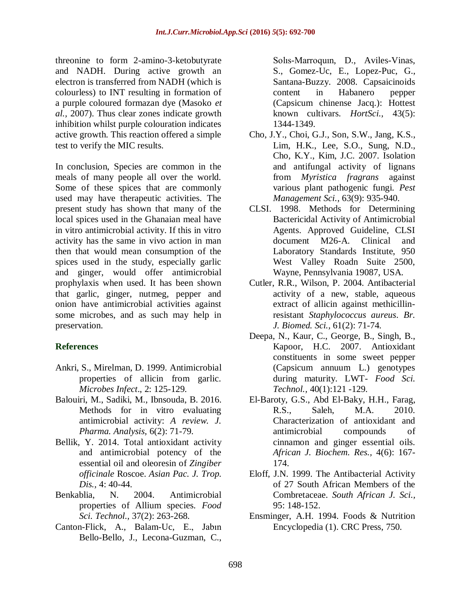threonine to form 2-amino-3-ketobutyrate and NADH. During active growth an electron is transferred from NADH (which is colourless) to INT resulting in formation of a purple coloured formazan dye (Masoko *et al.,* 2007). Thus clear zones indicate growth inhibition whilst purple colouration indicates active growth. This reaction offered a simple test to verify the MIC results.

In conclusion, Species are common in the meals of many people all over the world. Some of these spices that are commonly used may have therapeutic activities. The present study has shown that many of the local spices used in the Ghanaian meal have in vitro antimicrobial activity. If this in vitro activity has the same in vivo action in man then that would mean consumption of the spices used in the study, especially garlic and ginger, would offer antimicrobial prophylaxis when used. It has been shown that garlic, ginger, nutmeg, pepper and onion have antimicrobial activities against some microbes, and as such may help in preservation.

# **References**

- Ankri, S., Mirelman, D. 1999. Antimicrobial properties of allicin from garlic. *Microbes Infect*., 2: 125-129.
- Balouiri, M., Sadiki, M., Ibnsouda, B. 2016. Methods for in vitro evaluating antimicrobial activity: *A review. J. Pharma. Analysis,* 6(2): 71-79.
- Bellik, Y. 2014. Total antioxidant activity and antimicrobial potency of the essential oil and oleoresin of *Zingiber officinale* Roscoe. *Asian Pac. J. Trop. Dis.,* 4: 40-44.
- Benkablia, N. 2004. Antimicrobial properties of Allium species. *Food Sci. Technol.,* 37(2): 263-268.
- Canton-Flick, A., Balam-Uc, E., Jabın Bello-Bello, J., Lecona-Guzman, C.,

Solıs-Marroquın, D., Aviles-Vinas, S., Gomez-Uc, E., Lopez-Puc, G., Santana-Buzzy. 2008. Capsaicinoids content in Habanero pepper (Capsicum chinense Jacq.): Hottest known cultivars. *HortSci.,* 43(5): 1344-1349.

- Cho, J.Y., Choi, G.J., Son, S.W., Jang, K.S., Lim, H.K., Lee, S.O., Sung, N.D., Cho, K.Y., Kim, J.C. 2007. Isolation and antifungal activity of lignans from *Myristica fragrans* against various plant pathogenic fungi. *Pest Management Sci.,* 63(9): 935-940.
- CLSI. 1998. Methods for Determining Bactericidal Activity of Antimicrobial Agents. Approved Guideline, CLSI document M26-A. Clinical and Laboratory Standards Institute, 950 West Valley Roadn Suite 2500, Wayne, Pennsylvania 19087, USA.
- Cutler, R.R., Wilson, P. 2004. Antibacterial activity of a new, stable, aqueous extract of allicin against methicillinresistant *Staphylococcus aureus*. *Br. J. Biomed. Sci.,* 61(2): 71-74.
- Deepa, N., Kaur, C., George, B., Singh, B., Kapoor, H.C. 2007. Antioxidant constituents in some sweet pepper (Capsicum annuum L.) genotypes during maturity. LWT- *Food Sci. Technol.,* 40(1):121 -129.
- El-Baroty, G.S., Abd El-Baky, H.H., Farag, R.S., Saleh, M.A. 2010. Characterization of antioxidant and antimicrobial compounds of cinnamon and ginger essential oils. *African J. Biochem. Res.,* 4(6): 167- 174.
- Eloff, J.N. 1999. The Antibacterial Activity of 27 South African Members of the Combretaceae. *South African J. Sci.,* 95: 148-152.
- Ensminger, A.H. 1994. Foods & Nutrition Encyclopedia (1). CRC Press, 750.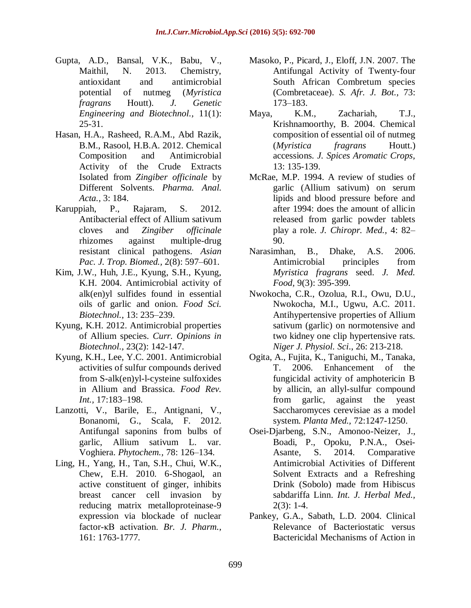- Gupta, A.D., Bansal, V.K., Babu, V., Maithil, N. 2013. Chemistry, antioxidant and antimicrobial potential of nutmeg (*Myristica fragrans* Houtt). *J. Genetic Engineering and Biotechnol.,* 11(1): 25-31.
- Hasan, H.A., Rasheed, R.A.M., Abd Razik, B.M., Rasool, H.B.A. 2012. Chemical Composition and Antimicrobial Activity of the Crude Extracts Isolated from *Zingiber officinale* by Different Solvents. *Pharma. Anal. Acta.,* 3: 184.
- Karuppiah, P., Rajaram, S. 2012. Antibacterial effect of Allium sativum cloves and *Zingiber officinale* rhizomes against multiple-drug resistant clinical pathogens. *Asian Pac. J. Trop. Biomed.,* 2(8): 597–601.
- Kim, J.W., Huh, J.E., Kyung, S.H., Kyung, K.H. 2004. Antimicrobial activity of alk(en)yl sulfides found in essential oils of garlic and onion. *Food Sci. Biotechnol.,* 13: 235–239.
- Kyung, K.H. 2012. Antimicrobial properties of Allium species. *Curr. Opinions in Biotechnol.,* 23(2): 142-147.
- Kyung, K.H., Lee, Y.C. 2001. Antimicrobial activities of sulfur compounds derived from S-alk(en)yl-l-cysteine sulfoxides in Allium and Brassica. *Food Rev. Int.,* 17:183–198.
- Lanzotti, V., Barile, E., Antignani, V., Bonanomi, G., Scala, F. 2012. Antifungal saponins from bulbs of garlic, Allium sativum L. var. Voghiera. *Phytochem.,* 78: 126–134.
- Ling, H., Yang, H., Tan, S.H., Chui, W.K., Chew, E.H. 2010. 6-Shogaol, an active constituent of ginger, inhibits breast cancer cell invasion by reducing matrix metalloproteinase-9 expression via blockade of nuclear factor-κB activation. *Br. J. Pharm.,* 161: 1763-1777.
- Masoko, P., Picard, J., Eloff, J.N. 2007. The Antifungal Activity of Twenty-four South African Combretum species (Combretaceae). *S. Afr. J. Bot.,* 73: 173–183.
- Maya, K.M., Zachariah, T.J., Krishnamoorthy, B. 2004. Chemical composition of essential oil of nutmeg (*Myristica fragrans* Houtt.) accessions. *J. Spices Aromatic Crops,* 13: 135-139.
- McRae, M.P. 1994. A review of studies of garlic (Allium sativum) on serum lipids and blood pressure before and after 1994: does the amount of allicin released from garlic powder tablets play a role. *J. Chiropr. Med.,* 4: 82– 90.
- Narasimhan, B., Dhake, A.S. 2006. Antimicrobial principles from *Myristica fragrans* seed. *J. Med. Food,* 9(3): 395-399.
- Nwokocha, C.R., Ozolua, R.I., Owu, D.U., Nwokocha, M.I., Ugwu, A.C. 2011. Antihypertensive properties of Allium sativum (garlic) on normotensive and two kidney one clip hypertensive rats. *Niger J. Physiol. Sci*., 26: 213-218.
- Ogita, A., Fujita, K., Taniguchi, M., Tanaka, T. 2006. Enhancement of the fungicidal activity of amphotericin B by allicin, an allyl-sulfur compound from garlic, against the yeast Saccharomyces cerevisiae as a model system. *Planta Med.,* 72:1247-1250.
- Osei-Djarbeng, S.N., Amonoo-Neizer, J., Boadi, P., Opoku, P.N.A., Osei-Asante, S. 2014. Comparative Antimicrobial Activities of Different Solvent Extracts and a Refreshing Drink (Sobolo) made from Hibiscus sabdariffa Linn. *Int. J. Herbal Med.,*   $2(3): 1-4.$
- Pankey, G.A., Sabath, L.D. 2004. Clinical Relevance of Bacteriostatic versus Bactericidal Mechanisms of Action in